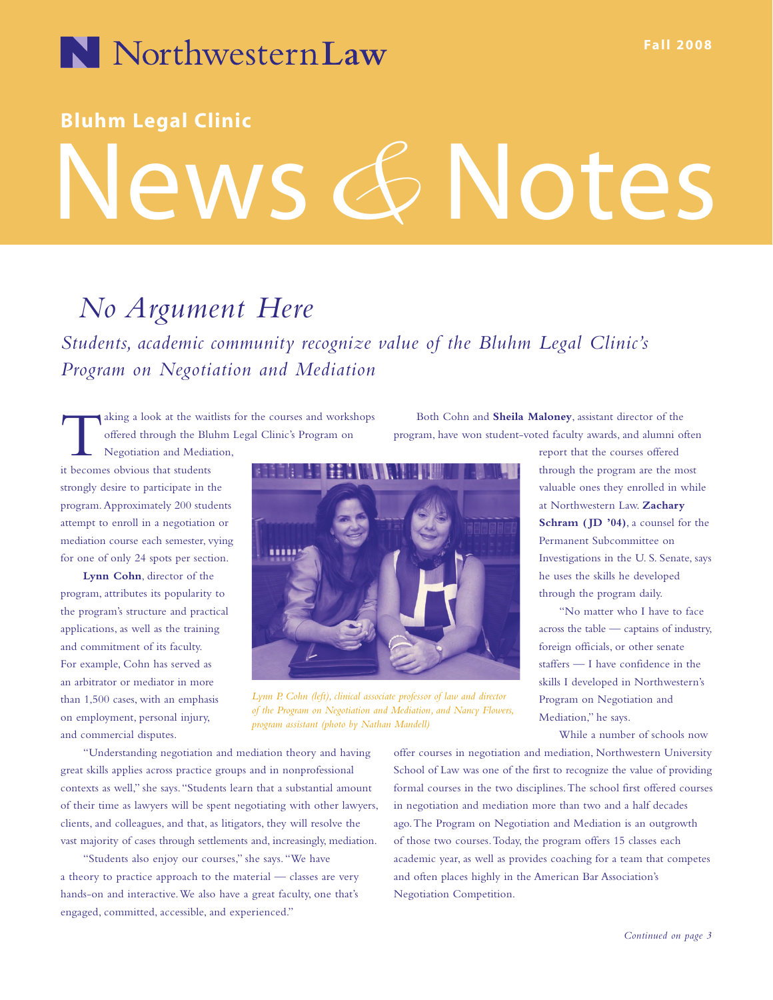

# **Bluhm Legal Clinic**

# News*&* Notes

# *No Argument Here*

*Students, academic community recognize value of the Bluhm Legal Clinic's Program on Negotiation and Mediation*

aking a look at the waitlists for the courses and workshops offered through the Bluhm Legal Clinic's Program on Negotiation and Mediation,

it becomes obvious that students strongly desire to participate in the program. Approximately 200 students attempt to enroll in a negotiation or mediation course each semester, vying for one of only 24 spots per section.

**Lynn Cohn**, director of the program, attributes its popularity to the program's structure and practical applications, as well as the training and commitment of its faculty. For example, Cohn has served as an arbitrator or mediator in more than 1,500 cases, with an emphasis on employment, personal injury, and commercial disputes.

*Lynn P. Cohn (left), clinical associate professor of law and director of the Program on Negotiation and Mediation, and Nancy Flowers, program assistant (photo by Nathan Mandell)*

"Understanding negotiation and mediation theory and having great skills applies across practice groups and in nonprofessional contexts as well," she says."Students learn that a substantial amount of their time as lawyers will be spent negotiating with other lawyers, clients, and colleagues, and that, as litigators, they will resolve the vast majority of cases through settlements and, increasingly, mediation.

"Students also enjoy our courses," she says."We have a theory to practice approach to the material — classes are very hands-on and interactive.We also have a great faculty, one that's engaged, committed, accessible, and experienced."

Both Cohn and **Sheila Maloney**, assistant director of the program, have won student-voted faculty awards, and alumni often

> Permanent Subcommittee on Investigations in the U. S. Senate, says he uses the skills he developed through the program daily. "No matter who I have to face across the table — captains of industry, foreign officials, or other senate staffers — I have confidence in the skills I developed in Northwestern's Program on Negotiation and Mediation," he says.

report that the courses offered through the program are the most valuable ones they enrolled in while at Northwestern Law. **Zachary Schram ( JD '04)**, a counsel for the

While a number of schools now

offer courses in negotiation and mediation, Northwestern University School of Law was one of the first to recognize the value of providing formal courses in the two disciplines.The school first offered courses in negotiation and mediation more than two and a half decades ago.The Program on Negotiation and Mediation is an outgrowth of those two courses.Today, the program offers 15 classes each academic year, as well as provides coaching for a team that competes and often places highly in the American Bar Association's Negotiation Competition.

*Continued on page 3*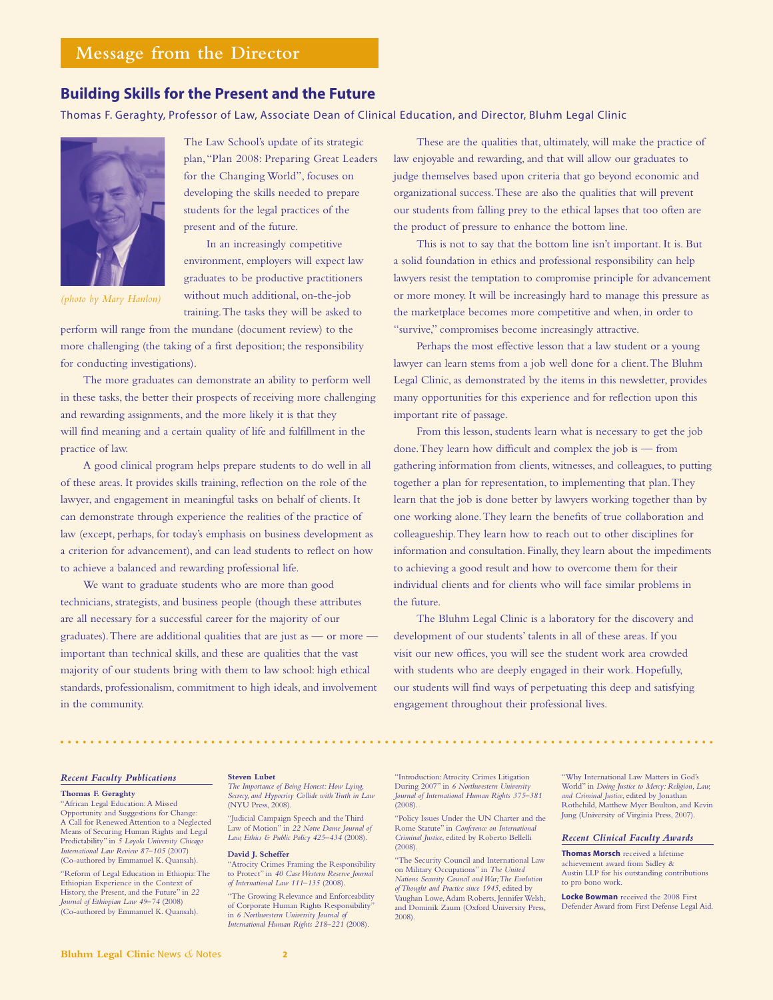## **Building Skills for the Present and the Future**

Thomas F. Geraghty, Professor of Law, Associate Dean of Clinical Education, and Director, Bluhm Legal Clinic



*(photo by Mary Hanlon)*

The Law School's update of its strategic plan,"Plan 2008: Preparing Great Leaders for the Changing World", focuses on developing the skills needed to prepare students for the legal practices of the present and of the future.

In an increasingly competitive environment, employers will expect law graduates to be productive practitioners without much additional, on-the-job training.The tasks they will be asked to

perform will range from the mundane (document review) to the more challenging (the taking of a first deposition; the responsibility for conducting investigations).

The more graduates can demonstrate an ability to perform well in these tasks, the better their prospects of receiving more challenging and rewarding assignments, and the more likely it is that they will find meaning and a certain quality of life and fulfillment in the practice of law.

A good clinical program helps prepare students to do well in all of these areas. It provides skills training, reflection on the role of the lawyer, and engagement in meaningful tasks on behalf of clients. It can demonstrate through experience the realities of the practice of law (except, perhaps, for today's emphasis on business development as a criterion for advancement), and can lead students to reflect on how to achieve a balanced and rewarding professional life.

We want to graduate students who are more than good technicians, strategists, and business people (though these attributes are all necessary for a successful career for the majority of our graduates).There are additional qualities that are just as — or more important than technical skills, and these are qualities that the vast majority of our students bring with them to law school: high ethical standards, professionalism, commitment to high ideals, and involvement in the community.

These are the qualities that, ultimately, will make the practice of law enjoyable and rewarding, and that will allow our graduates to judge themselves based upon criteria that go beyond economic and organizational success.These are also the qualities that will prevent our students from falling prey to the ethical lapses that too often are the product of pressure to enhance the bottom line.

This is not to say that the bottom line isn't important. It is. But a solid foundation in ethics and professional responsibility can help lawyers resist the temptation to compromise principle for advancement or more money. It will be increasingly hard to manage this pressure as the marketplace becomes more competitive and when, in order to "survive," compromises become increasingly attractive.

Perhaps the most effective lesson that a law student or a young lawyer can learn stems from a job well done for a client.The Bluhm Legal Clinic, as demonstrated by the items in this newsletter, provides many opportunities for this experience and for reflection upon this important rite of passage.

From this lesson, students learn what is necessary to get the job done.They learn how difficult and complex the job is — from gathering information from clients, witnesses, and colleagues, to putting together a plan for representation, to implementing that plan.They learn that the job is done better by lawyers working together than by one working alone.They learn the benefits of true collaboration and colleagueship.They learn how to reach out to other disciplines for information and consultation. Finally, they learn about the impediments to achieving a good result and how to overcome them for their individual clients and for clients who will face similar problems in the future.

The Bluhm Legal Clinic is a laboratory for the discovery and development of our students' talents in all of these areas. If you visit our new offices, you will see the student work area crowded with students who are deeply engaged in their work. Hopefully, our students will find ways of perpetuating this deep and satisfying engagement throughout their professional lives.

#### *Recent Faculty Publications*

#### **Thomas F. Geraghty**

"African Legal Education:A Missed Opportunity and Suggestions for Change: A Call for Renewed Attention to a Neglected Means of Securing Human Rights and Legal Predictability" in *5 Loyola University Chicago International Law Review 87–105* (2007) (Co-authored by Emmanuel K. Quansah).

"Reform of Legal Education in Ethiopia:The Ethiopian Experience in the Context of History, the Present, and the Future" in *22 Journal of Ethiopian Law 49–74* (2008) (Co-authored by Emmanuel K. Quansah).

#### **Steven Lubet**

*The Importance of Being Honest: How Lying, Secrecy, and Hypocrisy Collide with Truth in Law* (NYU Press, 2008).

"Judicial Campaign Speech and the Third Law of Motion" in *22 Notre Dame Journal of Law, Ethics & Public Policy 425–434* (2008).

#### **David J. Scheffer**

"Atrocity Crimes Framing the Responsibility to Protect" in *40 Case Western Reserve Journal of International Law 111–135* (2008).

"The Growing Relevance and Enforceability of Corporate Human Rights Responsibility" in *6 Northwestern University Journal of International Human Rights 218–221* (2008).

"Introduction:Atrocity Crimes Litigation During 2007" in *6 Northwestern University Journal of International Human Rights 375–381* (2008).

"Policy Issues Under the UN Charter and the Rome Statute" in *Conference on International Criminal Justice*, edited by Roberto Bellelli  $(2008)$ 

"The Security Council and International Law on Military Occupations" in *The United Nations Security Council and War;The Evolution of Thought and Practice since 1945*, edited by Vaughan Lowe, Adam Roberts, Jennifer Welsh, and Dominik Zaum (Oxford University Press, 2008).

"Why International Law Matters in God's World" in *Doing Justice to Mercy: Religion, Law, and Criminal Justice*, edited by Jonathan Rothchild, Matthew Myer Boulton, and Kevin Jung (University of Virginia Press, 2007).

#### *Recent Clinical Faculty Awards*

**Thomas Morsch** received a lifetime achievement award from Sidley & Austin LLP for his outstanding contributions to pro bono work.

**Locke Bowman** received the 2008 First Defender Award from First Defense Legal Aid.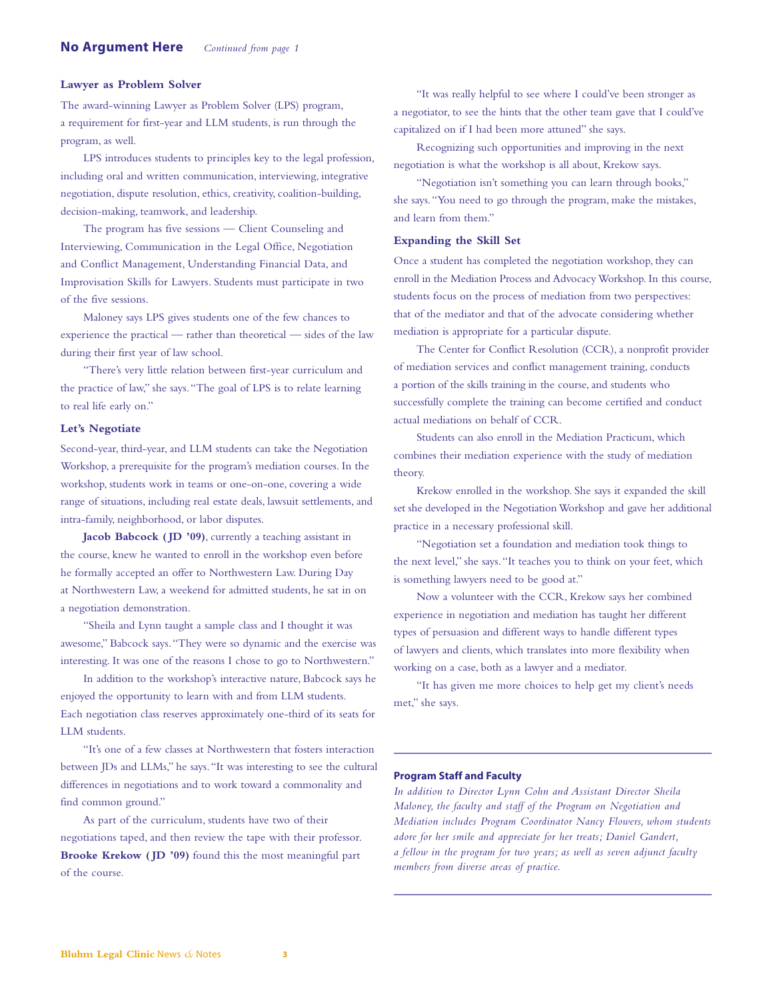#### **Lawyer as Problem Solver**

The award-winning Lawyer as Problem Solver (LPS) program, a requirement for first-year and LLM students, is run through the program, as well.

LPS introduces students to principles key to the legal profession, including oral and written communication, interviewing, integrative negotiation, dispute resolution, ethics, creativity, coalition-building, decision-making, teamwork, and leadership.

The program has five sessions — Client Counseling and Interviewing, Communication in the Legal Office, Negotiation and Conflict Management, Understanding Financial Data, and Improvisation Skills for Lawyers. Students must participate in two of the five sessions.

Maloney says LPS gives students one of the few chances to experience the practical — rather than theoretical — sides of the law during their first year of law school.

"There's very little relation between first-year curriculum and the practice of law," she says."The goal of LPS is to relate learning to real life early on."

#### **Let's Negotiate**

Second-year, third-year, and LLM students can take the Negotiation Workshop, a prerequisite for the program's mediation courses. In the workshop, students work in teams or one-on-one, covering a wide range of situations, including real estate deals, lawsuit settlements, and intra-family, neighborhood, or labor disputes.

**Jacob Babcock (JD '09)**, currently a teaching assistant in the course, knew he wanted to enroll in the workshop even before he formally accepted an offer to Northwestern Law. During Day at Northwestern Law, a weekend for admitted students, he sat in on a negotiation demonstration.

"Sheila and Lynn taught a sample class and I thought it was awesome," Babcock says."They were so dynamic and the exercise was interesting. It was one of the reasons I chose to go to Northwestern."

In addition to the workshop's interactive nature, Babcock says he enjoyed the opportunity to learn with and from LLM students. Each negotiation class reserves approximately one-third of its seats for LLM students.

"It's one of a few classes at Northwestern that fosters interaction between JDs and LLMs," he says."It was interesting to see the cultural differences in negotiations and to work toward a commonality and find common ground."

As part of the curriculum, students have two of their negotiations taped, and then review the tape with their professor. **Brooke Krekow (JD '09)** found this the most meaningful part of the course.

"It was really helpful to see where I could've been stronger as a negotiator, to see the hints that the other team gave that I could've capitalized on if I had been more attuned" she says.

Recognizing such opportunities and improving in the next negotiation is what the workshop is all about, Krekow says.

"Negotiation isn't something you can learn through books," she says."You need to go through the program, make the mistakes, and learn from them."

#### **Expanding the Skill Set**

Once a student has completed the negotiation workshop, they can enroll in the Mediation Process and Advocacy Workshop. In this course, students focus on the process of mediation from two perspectives: that of the mediator and that of the advocate considering whether mediation is appropriate for a particular dispute.

The Center for Conflict Resolution (CCR), a nonprofit provider of mediation services and conflict management training, conducts a portion of the skills training in the course, and students who successfully complete the training can become certified and conduct actual mediations on behalf of CCR.

Students can also enroll in the Mediation Practicum, which combines their mediation experience with the study of mediation theory.

Krekow enrolled in the workshop. She says it expanded the skill set she developed in the Negotiation Workshop and gave her additional practice in a necessary professional skill.

"Negotiation set a foundation and mediation took things to the next level," she says."It teaches you to think on your feet, which is something lawyers need to be good at."

Now a volunteer with the CCR, Krekow says her combined experience in negotiation and mediation has taught her different types of persuasion and different ways to handle different types of lawyers and clients, which translates into more flexibility when working on a case, both as a lawyer and a mediator.

"It has given me more choices to help get my client's needs met," she says.

#### **Program Staff and Faculty**

*In addition to Director Lynn Cohn and Assistant Director Sheila Maloney, the faculty and staff of the Program on Negotiation and Mediation includes Program Coordinator Nancy Flowers, whom students adore for her smile and appreciate for her treats; Daniel Gandert, a fellow in the program for two years; as well as seven adjunct faculty members from diverse areas of practice.*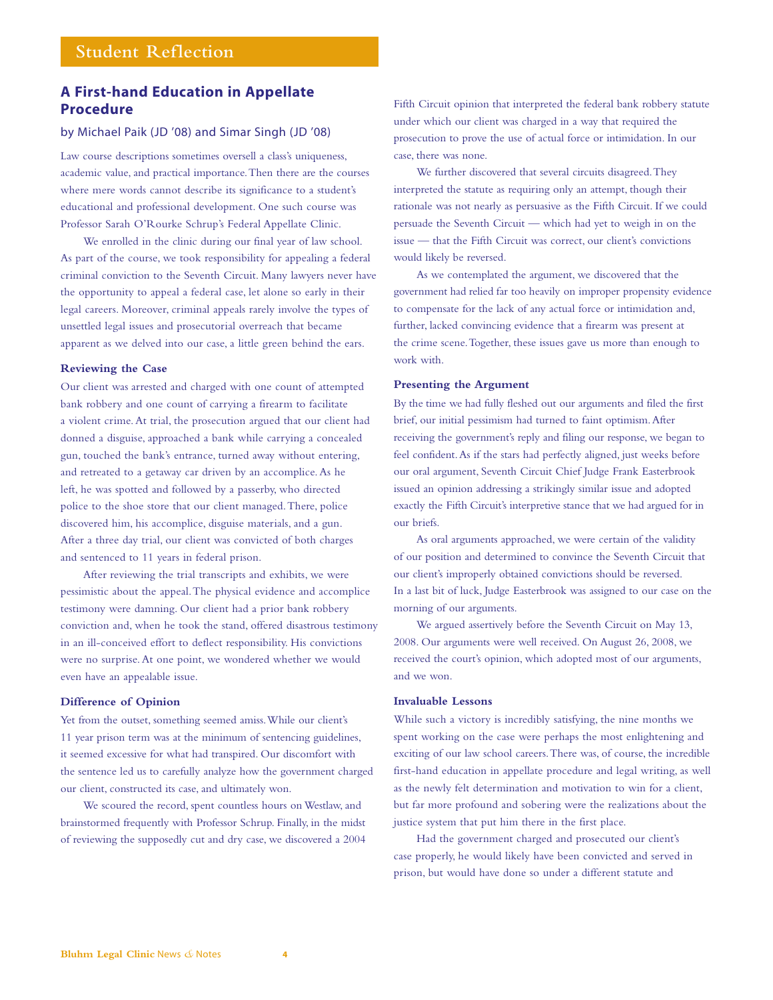# **Student Reflection**

# **A First-hand Education in Appellate Procedure**

#### by Michael Paik (JD '08) and Simar Singh (JD '08)

Law course descriptions sometimes oversell a class's uniqueness, academic value, and practical importance.Then there are the courses where mere words cannot describe its significance to a student's educational and professional development. One such course was Professor Sarah O'Rourke Schrup's Federal Appellate Clinic.

We enrolled in the clinic during our final year of law school. As part of the course, we took responsibility for appealing a federal criminal conviction to the Seventh Circuit. Many lawyers never have the opportunity to appeal a federal case, let alone so early in their legal careers. Moreover, criminal appeals rarely involve the types of unsettled legal issues and prosecutorial overreach that became apparent as we delved into our case, a little green behind the ears.

#### **Reviewing the Case**

Our client was arrested and charged with one count of attempted bank robbery and one count of carrying a firearm to facilitate a violent crime. At trial, the prosecution argued that our client had donned a disguise, approached a bank while carrying a concealed gun, touched the bank's entrance, turned away without entering, and retreated to a getaway car driven by an accomplice. As he left, he was spotted and followed by a passerby, who directed police to the shoe store that our client managed.There, police discovered him, his accomplice, disguise materials, and a gun. After a three day trial, our client was convicted of both charges and sentenced to 11 years in federal prison.

After reviewing the trial transcripts and exhibits, we were pessimistic about the appeal.The physical evidence and accomplice testimony were damning. Our client had a prior bank robbery conviction and, when he took the stand, offered disastrous testimony in an ill-conceived effort to deflect responsibility. His convictions were no surprise. At one point, we wondered whether we would even have an appealable issue.

#### **Difference of Opinion**

Yet from the outset, something seemed amiss.While our client's 11 year prison term was at the minimum of sentencing guidelines, it seemed excessive for what had transpired. Our discomfort with the sentence led us to carefully analyze how the government charged our client, constructed its case, and ultimately won.

We scoured the record, spent countless hours on Westlaw, and brainstormed frequently with Professor Schrup. Finally, in the midst of reviewing the supposedly cut and dry case, we discovered a 2004

Fifth Circuit opinion that interpreted the federal bank robbery statute under which our client was charged in a way that required the prosecution to prove the use of actual force or intimidation. In our case, there was none.

We further discovered that several circuits disagreed.They interpreted the statute as requiring only an attempt, though their rationale was not nearly as persuasive as the Fifth Circuit. If we could persuade the Seventh Circuit — which had yet to weigh in on the issue — that the Fifth Circuit was correct, our client's convictions would likely be reversed.

As we contemplated the argument, we discovered that the government had relied far too heavily on improper propensity evidence to compensate for the lack of any actual force or intimidation and, further, lacked convincing evidence that a firearm was present at the crime scene.Together, these issues gave us more than enough to work with.

#### **Presenting the Argument**

By the time we had fully fleshed out our arguments and filed the first brief, our initial pessimism had turned to faint optimism.After receiving the government's reply and filing our response, we began to feel confident.As if the stars had perfectly aligned, just weeks before our oral argument, Seventh Circuit Chief Judge Frank Easterbrook issued an opinion addressing a strikingly similar issue and adopted exactly the Fifth Circuit's interpretive stance that we had argued for in our briefs.

As oral arguments approached, we were certain of the validity of our position and determined to convince the Seventh Circuit that our client's improperly obtained convictions should be reversed. In a last bit of luck, Judge Easterbrook was assigned to our case on the morning of our arguments.

We argued assertively before the Seventh Circuit on May 13, 2008. Our arguments were well received. On August 26, 2008, we received the court's opinion, which adopted most of our arguments, and we won.

#### **Invaluable Lessons**

While such a victory is incredibly satisfying, the nine months we spent working on the case were perhaps the most enlightening and exciting of our law school careers.There was, of course, the incredible first-hand education in appellate procedure and legal writing, as well as the newly felt determination and motivation to win for a client, but far more profound and sobering were the realizations about the justice system that put him there in the first place.

Had the government charged and prosecuted our client's case properly, he would likely have been convicted and served in prison, but would have done so under a different statute and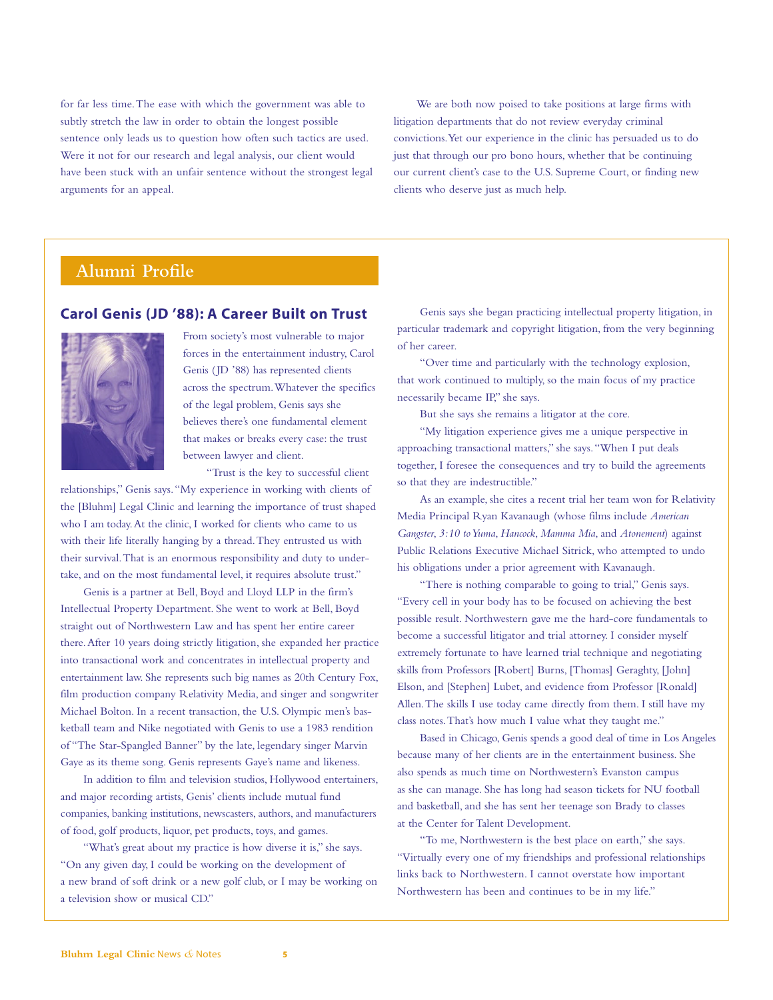for far less time.The ease with which the government was able to subtly stretch the law in order to obtain the longest possible sentence only leads us to question how often such tactics are used. Were it not for our research and legal analysis, our client would have been stuck with an unfair sentence without the strongest legal arguments for an appeal.

We are both now poised to take positions at large firms with litigation departments that do not review everyday criminal convictions.Yet our experience in the clinic has persuaded us to do just that through our pro bono hours, whether that be continuing our current client's case to the U.S. Supreme Court, or finding new clients who deserve just as much help.

# **Alumni Profile**

#### **Carol Genis (JD '88): A Career Built on Trust**



From society's most vulnerable to major forces in the entertainment industry, Carol Genis ( JD '88) has represented clients across the spectrum.Whatever the specifics of the legal problem, Genis says she believes there's one fundamental element that makes or breaks every case: the trust between lawyer and client.

"Trust is the key to successful client

relationships," Genis says."My experience in working with clients of the [Bluhm] Legal Clinic and learning the importance of trust shaped who I am today.At the clinic, I worked for clients who came to us with their life literally hanging by a thread.They entrusted us with their survival.That is an enormous responsibility and duty to undertake, and on the most fundamental level, it requires absolute trust."

Genis is a partner at Bell, Boyd and Lloyd LLP in the firm's Intellectual Property Department. She went to work at Bell, Boyd straight out of Northwestern Law and has spent her entire career there.After 10 years doing strictly litigation, she expanded her practice into transactional work and concentrates in intellectual property and entertainment law. She represents such big names as 20th Century Fox, film production company Relativity Media, and singer and songwriter Michael Bolton. In a recent transaction, the U.S. Olympic men's basketball team and Nike negotiated with Genis to use a 1983 rendition of "The Star-Spangled Banner" by the late, legendary singer Marvin Gaye as its theme song. Genis represents Gaye's name and likeness.

In addition to film and television studios, Hollywood entertainers, and major recording artists, Genis' clients include mutual fund companies, banking institutions, newscasters, authors, and manufacturers of food, golf products, liquor, pet products, toys, and games.

"What's great about my practice is how diverse it is," she says. "On any given day, I could be working on the development of a new brand of soft drink or a new golf club, or I may be working on a television show or musical CD."

Genis says she began practicing intellectual property litigation, in particular trademark and copyright litigation, from the very beginning of her career.

"Over time and particularly with the technology explosion, that work continued to multiply, so the main focus of my practice necessarily became IP," she says.

But she says she remains a litigator at the core.

"My litigation experience gives me a unique perspective in approaching transactional matters," she says."When I put deals together, I foresee the consequences and try to build the agreements so that they are indestructible."

As an example, she cites a recent trial her team won for Relativity Media Principal Ryan Kavanaugh (whose films include *American Gangster*, *3:10 to Yuma*, *Hancock*, *Mamma Mia*, and *Atonement*) against Public Relations Executive Michael Sitrick, who attempted to undo his obligations under a prior agreement with Kavanaugh.

"There is nothing comparable to going to trial," Genis says. "Every cell in your body has to be focused on achieving the best possible result. Northwestern gave me the hard-core fundamentals to become a successful litigator and trial attorney. I consider myself extremely fortunate to have learned trial technique and negotiating skills from Professors [Robert] Burns, [Thomas] Geraghty, [John] Elson, and [Stephen] Lubet, and evidence from Professor [Ronald] Allen.The skills I use today came directly from them. I still have my class notes.That's how much I value what they taught me."

Based in Chicago, Genis spends a good deal of time in Los Angeles because many of her clients are in the entertainment business. She also spends as much time on Northwestern's Evanston campus as she can manage. She has long had season tickets for NU football and basketball, and she has sent her teenage son Brady to classes at the Center for Talent Development.

"To me, Northwestern is the best place on earth," she says. "Virtually every one of my friendships and professional relationships links back to Northwestern. I cannot overstate how important Northwestern has been and continues to be in my life."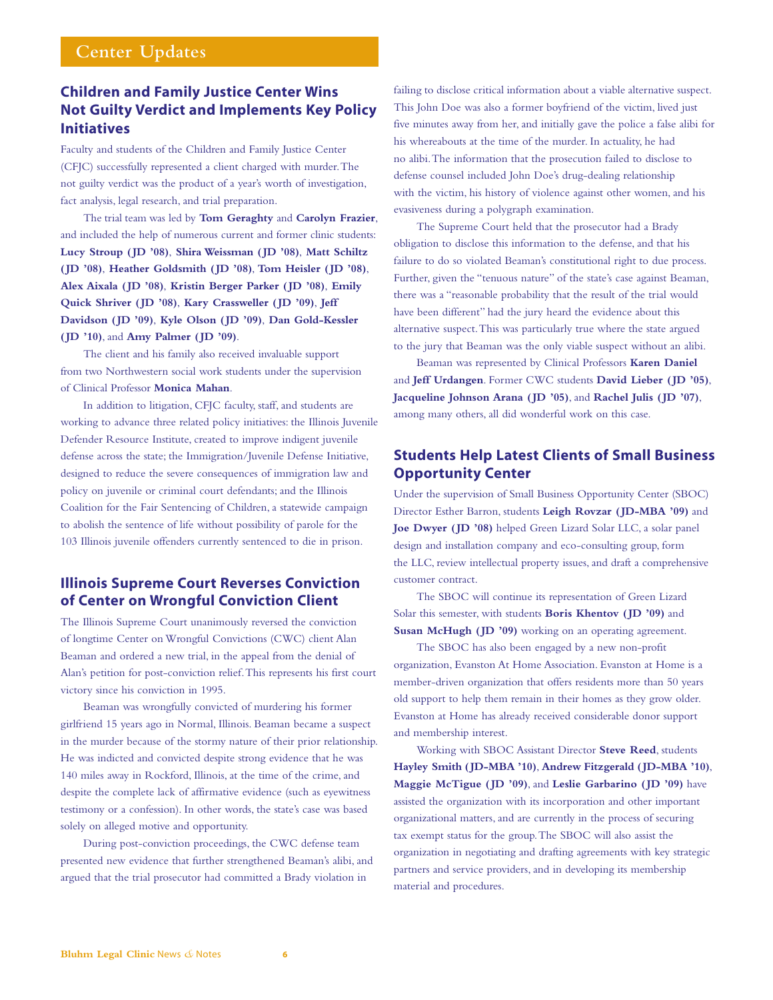# **Center Updates**

# **Children and Family Justice Center Wins Not Guilty Verdict and Implements Key Policy Initiatives**

Faculty and students of the Children and Family Justice Center (CFJC) successfully represented a client charged with murder.The not guilty verdict was the product of a year's worth of investigation, fact analysis, legal research, and trial preparation.

The trial team was led by **Tom Geraghty** and **Carolyn Frazier**, and included the help of numerous current and former clinic students: **Lucy Stroup (JD '08)**, **Shira Weissman (JD '08)**, **Matt Schiltz (JD '08)**, **Heather Goldsmith (JD '08)**, **Tom Heisler (JD '08)**, **Alex Aixala (JD '08)**, **Kristin Berger Parker (JD '08)**, **Emily Quick Shriver (JD '08)**, **Kary Crassweller (JD '09)**, **Jeff Davidson (JD '09)**, **Kyle Olson (JD '09)**, **Dan Gold-Kessler (JD '10)**, and **Amy Palmer (JD '09)**.

The client and his family also received invaluable support from two Northwestern social work students under the supervision of Clinical Professor **Monica Mahan**.

In addition to litigation, CFJC faculty, staff, and students are working to advance three related policy initiatives: the Illinois Juvenile Defender Resource Institute, created to improve indigent juvenile defense across the state; the Immigration/Juvenile Defense Initiative, designed to reduce the severe consequences of immigration law and policy on juvenile or criminal court defendants; and the Illinois Coalition for the Fair Sentencing of Children, a statewide campaign to abolish the sentence of life without possibility of parole for the 103 Illinois juvenile offenders currently sentenced to die in prison.

# **Illinois Supreme Court Reverses Conviction of Center on Wrongful Conviction Client**

The Illinois Supreme Court unanimously reversed the conviction of longtime Center on Wrongful Convictions (CWC) client Alan Beaman and ordered a new trial, in the appeal from the denial of Alan's petition for post-conviction relief.This represents his first court victory since his conviction in 1995.

Beaman was wrongfully convicted of murdering his former girlfriend 15 years ago in Normal, Illinois. Beaman became a suspect in the murder because of the stormy nature of their prior relationship. He was indicted and convicted despite strong evidence that he was 140 miles away in Rockford, Illinois, at the time of the crime, and despite the complete lack of affirmative evidence (such as eyewitness testimony or a confession). In other words, the state's case was based solely on alleged motive and opportunity.

During post-conviction proceedings, the CWC defense team presented new evidence that further strengthened Beaman's alibi, and argued that the trial prosecutor had committed a Brady violation in

failing to disclose critical information about a viable alternative suspect. This John Doe was also a former boyfriend of the victim, lived just five minutes away from her, and initially gave the police a false alibi for his whereabouts at the time of the murder. In actuality, he had no alibi.The information that the prosecution failed to disclose to defense counsel included John Doe's drug-dealing relationship with the victim, his history of violence against other women, and his evasiveness during a polygraph examination.

The Supreme Court held that the prosecutor had a Brady obligation to disclose this information to the defense, and that his failure to do so violated Beaman's constitutional right to due process. Further, given the "tenuous nature" of the state's case against Beaman, there was a "reasonable probability that the result of the trial would have been different" had the jury heard the evidence about this alternative suspect.This was particularly true where the state argued to the jury that Beaman was the only viable suspect without an alibi.

Beaman was represented by Clinical Professors **Karen Daniel** and **Jeff Urdangen**. Former CWC students **David Lieber (JD '05)**, **Jacqueline Johnson Arana (JD '05)**, and **Rachel Julis (JD '07)**, among many others, all did wonderful work on this case.

## **Students Help Latest Clients of Small Business Opportunity Center**

Under the supervision of Small Business Opportunity Center (SBOC) Director Esther Barron, students **Leigh Rovzar (JD-MBA '09)** and **Joe Dwyer (JD '08)** helped Green Lizard Solar LLC, a solar panel design and installation company and eco-consulting group, form the LLC, review intellectual property issues, and draft a comprehensive customer contract.

The SBOC will continue its representation of Green Lizard Solar this semester, with students **Boris Khentov (JD '09)** and **Susan McHugh (JD '09)** working on an operating agreement.

The SBOC has also been engaged by a new non-profit organization, Evanston At Home Association. Evanston at Home is a member-driven organization that offers residents more than 50 years old support to help them remain in their homes as they grow older. Evanston at Home has already received considerable donor support and membership interest.

Working with SBOC Assistant Director **Steve Reed**, students **Hayley Smith (JD-MBA '10)**, **Andrew Fitzgerald (JD-MBA '10)**, **Maggie McTigue (JD '09)**, and **Leslie Garbarino (JD '09)** have assisted the organization with its incorporation and other important organizational matters, and are currently in the process of securing tax exempt status for the group.The SBOC will also assist the organization in negotiating and drafting agreements with key strategic partners and service providers, and in developing its membership material and procedures.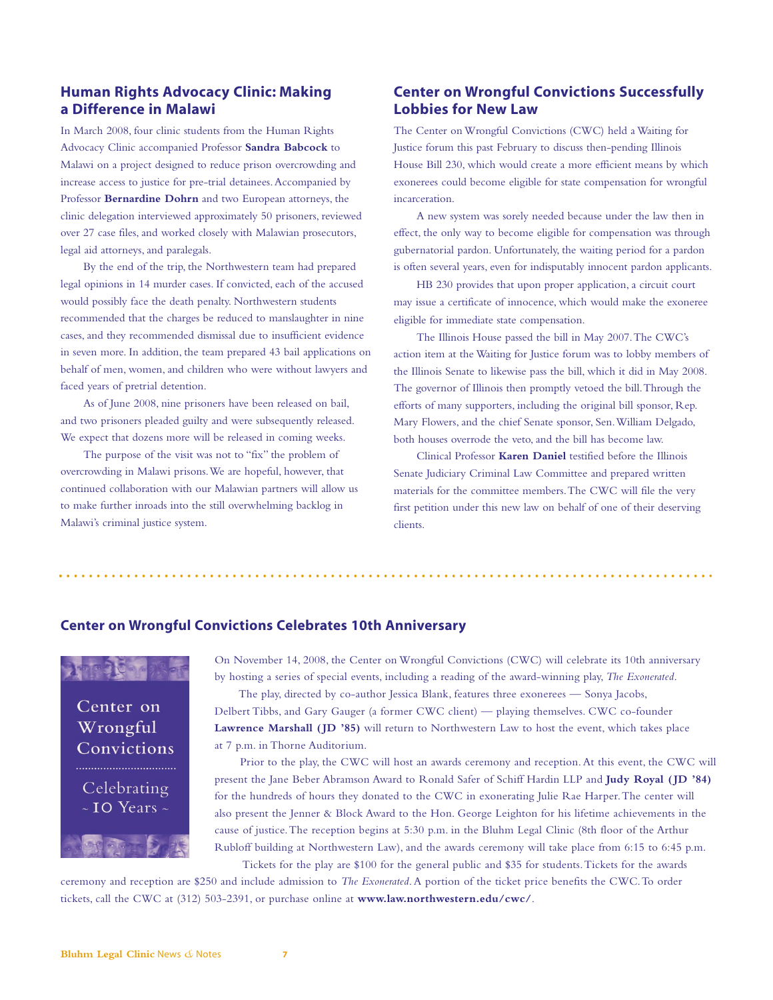# **Human Rights Advocacy Clinic: Making a Difference in Malawi**

In March 2008, four clinic students from the Human Rights Advocacy Clinic accompanied Professor **Sandra Babcock** to Malawi on a project designed to reduce prison overcrowding and increase access to justice for pre-trial detainees.Accompanied by Professor **Bernardine Dohrn** and two European attorneys, the clinic delegation interviewed approximately 50 prisoners, reviewed over 27 case files, and worked closely with Malawian prosecutors, legal aid attorneys, and paralegals.

By the end of the trip, the Northwestern team had prepared legal opinions in 14 murder cases. If convicted, each of the accused would possibly face the death penalty. Northwestern students recommended that the charges be reduced to manslaughter in nine cases, and they recommended dismissal due to insufficient evidence in seven more. In addition, the team prepared 43 bail applications on behalf of men, women, and children who were without lawyers and faced years of pretrial detention.

As of June 2008, nine prisoners have been released on bail, and two prisoners pleaded guilty and were subsequently released. We expect that dozens more will be released in coming weeks.

The purpose of the visit was not to "fix" the problem of overcrowding in Malawi prisons.We are hopeful, however, that continued collaboration with our Malawian partners will allow us to make further inroads into the still overwhelming backlog in Malawi's criminal justice system.

# **Center on Wrongful Convictions Successfully Lobbies for New Law**

The Center on Wrongful Convictions (CWC) held a Waiting for Justice forum this past February to discuss then-pending Illinois House Bill 230, which would create a more efficient means by which exonerees could become eligible for state compensation for wrongful incarceration.

A new system was sorely needed because under the law then in effect, the only way to become eligible for compensation was through gubernatorial pardon. Unfortunately, the waiting period for a pardon is often several years, even for indisputably innocent pardon applicants.

HB 230 provides that upon proper application, a circuit court may issue a certificate of innocence, which would make the exoneree eligible for immediate state compensation.

The Illinois House passed the bill in May 2007.The CWC's action item at the Waiting for Justice forum was to lobby members of the Illinois Senate to likewise pass the bill, which it did in May 2008. The governor of Illinois then promptly vetoed the bill.Through the efforts of many supporters, including the original bill sponsor, Rep. Mary Flowers, and the chief Senate sponsor, Sen.William Delgado, both houses overrode the veto, and the bill has become law.

Clinical Professor **Karen Daniel** testified before the Illinois Senate Judiciary Criminal Law Committee and prepared written materials for the committee members.The CWC will file the very first petition under this new law on behalf of one of their deserving clients.

#### **Center on Wrongful Convictions Celebrates 10th Anniversary**



On November 14, 2008, the Center on Wrongful Convictions (CWC) will celebrate its 10th anniversary by hosting a series of special events, including a reading of the award-winning play, *The Exonerated*.

The play, directed by co-author Jessica Blank, features three exonerees — Sonya Jacobs, Delbert Tibbs, and Gary Gauger (a former CWC client) — playing themselves. CWC co-founder **Lawrence Marshall (JD '85)** will return to Northwestern Law to host the event, which takes place at 7 p.m. in Thorne Auditorium.

Prior to the play, the CWC will host an awards ceremony and reception. At this event, the CWC will present the Jane Beber Abramson Award to Ronald Safer of Schiff Hardin LLP and **Judy Royal (JD '84)** for the hundreds of hours they donated to the CWC in exonerating Julie Rae Harper.The center will also present the Jenner & Block Award to the Hon. George Leighton for his lifetime achievements in the cause of justice.The reception begins at 5:30 p.m. in the Bluhm Legal Clinic (8th floor of the Arthur Rubloff building at Northwestern Law), and the awards ceremony will take place from 6:15 to 6:45 p.m. Tickets for the play are \$100 for the general public and \$35 for students.Tickets for the awards

ceremony and reception are \$250 and include admission to *The Exonerated*.A portion of the ticket price benefits the CWC.To order tickets, call the CWC at (312) 503-2391, or purchase online at **www.law.northwestern.edu/cwc/**.